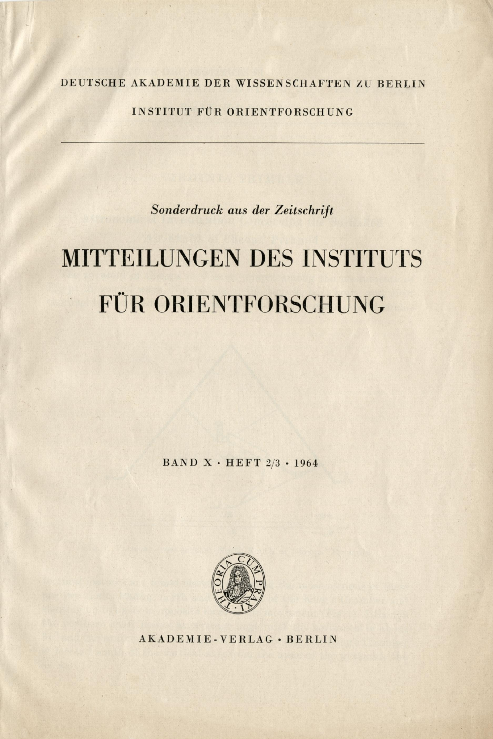#### DEUTSCHE AKADEMIE DER WISSENSCHAFTEN ZU BERLIN

INSTITUT FÜR ORIENTFORSCHUNG

*Sonderdruck aus der Zeitschrift* 

# **MITTEILUNGEN DES INSTITUTS FÜR ORIENTFORSCHUNG**

**BAND X · HEFT 2/3 · 1964** 



AKADEMIE-VERLAG • BERLI N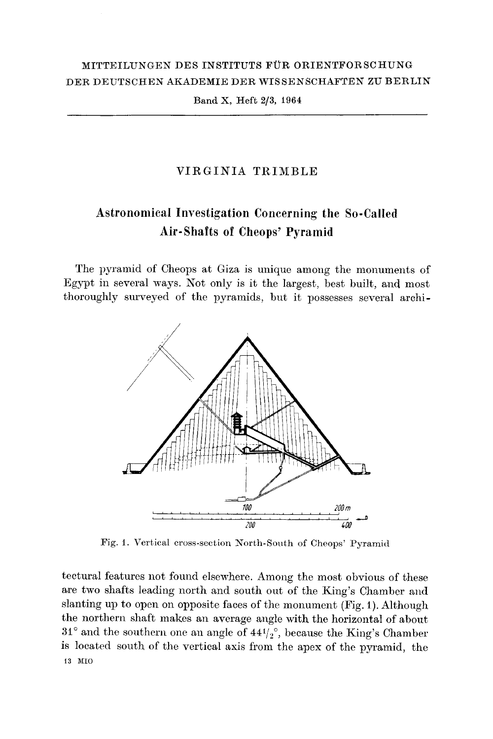### MITTEILUNGEN DES INSTITUTS FÜR ORIENTFORSCHUNG DER DEUTSCHEN AKADEMIE DER WISSENSCHAFTEN ZU BERLIN

BandX, Heft 2/3, 1964

#### VIRGINIA TRIMBLE

## **Astronomical Investigation Concerning the So-Called Air-Shafts of Cheops' Pyramid**

The pyramid of Cheops at Giza is unique among the monuments of Egypt in several ways. Not only is it the largest, best built, and most thoroughly surveyed of the pyramids, but it possesses several archi-



Fig. 1. Vertical cross-section North-South of Cheops' Pyramid

tectural features not found elsewhere. Among the most obvious of these are two shafts leading north and south out of the King's Chamber and slanting up to open on opposite faces of the monument (Fig. 1). Although the northern shaft makes an average angle with the horizontal of about 31° and the southern one an angle of 44 **<sup>1</sup> /2° ,** because the King's Chamber is located south of the vertical axis from the apex of the pyramid, the **13 MIO**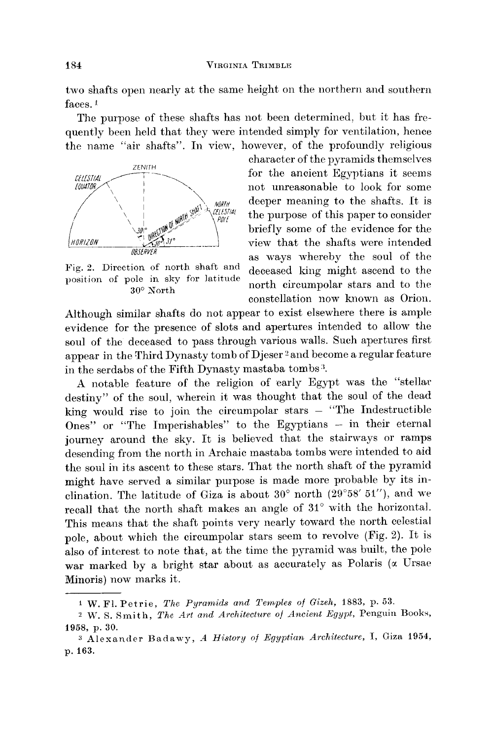two shafts open nearly at the same height on the northern and southern faces.<sup>1</sup>

The purpose of these shafts has not been determined, but it has frequently been held that they were intended simply for ventilation, hence the name "air shafts". In view, however, of the profoundly religious



**Fig . 2. Direction of north shaft and position of pole in sky for latitude**   $30^{\circ}$  **North** 

character of the pyramids themselves for the ancient Egyptians it seems not unreasonable to look for some deeper meaning to the shafts. It is the purpose of this paper to consider briefly some of the evidence for the view that the shafts were intended as ways whereby the soul of the deceased king might ascend to the north circumpolar stars and to the constellation now known as Orion.

Although similar shafts do not appear to exist elsewhere there is ample evidence for the presence of slots and apertures intended to allow the soul of the deceased to pass through various walls. Such apertures first appear in the Third Dynasty tomb of Djeser  $^2$  and become a regular feature in the serdabs of the Fifth Dynasty mastaba tombs<sup>3</sup>.

A notable feature of the religion of early Egypt was the "stellar destiny" of the soul, wherein it was thought that the soul of the dead king would rise to join the circumpolar stars  $-$  "The Indestructible Ones" or "The Imperishables" to the Egyptians  $-$  in their eternal journey around the sky. It is believed that the stairways or ramps desending from the north in Archaic mastaba tombs were intended to aid the soul in its ascent to these stars. That the north shaft of the pyramid might have served a similar purpose is made more probable by its inclination. The latitude of Giza is about  $30^{\circ}$  north (29°58' 51"), and we recall that the north shaft makes an angle of  $31^{\circ}$  with the horizontal. This means that the shaft points very nearly toward the north celestial pole, about which the circumpolar stars seem to revolve (Fig. 2). It is also of interest to note that, at the time the pyramid was built, the pole war marked by a bright star about as accurately as Polaris  $(\alpha$  Ursae Minoris) now marks it.

**<sup>1</sup> W . Fl . Petrie ,** *The Pyramids and Temples of Gizeh,* **1883 , p. 53.** 

**<sup>2</sup> W . S. Smith ,** *The Art and Architecture of Ancient Egypt,* **Penguin Books, 1958 , p. 30.** 

**<sup>3</sup> Alexande r Badawy ,** *A History of Egyptian Architecture,* **I, Giza 1954 , p. 163 .**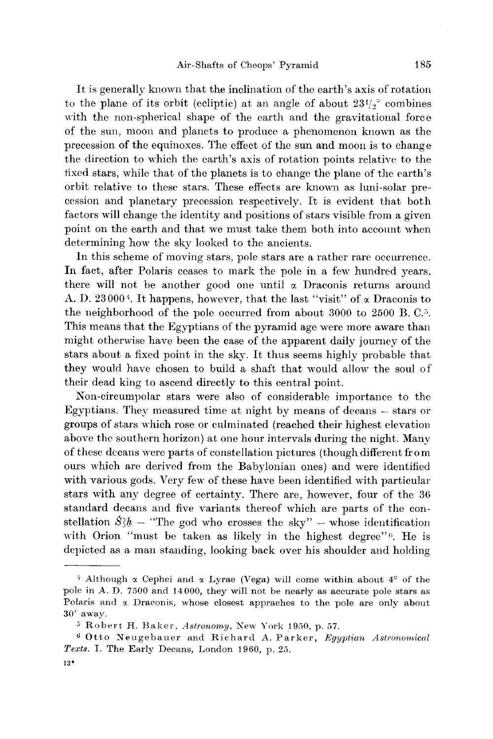It is generally known that the inclination of the earth's axis of rotation to the plane of its orbit (ecliptic) at an angle of about  $23<sup>1</sup>/2<sup>°</sup>$  combines with the non-spherical shape of the earth and the gravitational force of the sun, moon and planets to produce a phenomenon known as the precession of the equinoxes. The effect of the sun and moon is to change the direction to which the earth's axis of rotation points relative to the fixed stars, while that of the planets is to change the plane of the earth's orbit relative to these stars. These effects are known as luni-solar precession and planetary precession respectively. It is evident that both factors will change the identity and positions of stars visible from a given point on the earth and that we must take them both into account when determining how the sky looked to the ancients.

In this scheme of moving stars, pole stars are a rather rare occurrence. In fact, after Polaris ceases to mark the pole in a few hundred years, there will not be another good one until  $\alpha$  Draconis returns around A. D. 230004. It happens, however, that the last "visit" of  $\alpha$  Draconis to the neighborhood of the pole occurred from about  $3000$  to  $2500$  B. C.<sup>5</sup>. This means that the Egyptians of the pyramid age were more aware than might otherwise have been the case of the apparent daily journey of the stars about a fixed point in the sky. It thus seems highly probable that they would have chosen to build a shaft that would allow the soul of their dead king to ascend directly to this central point.

Non-circumpolar stars were also of considerable importance to the Egyptians. They measured time at night by means of decans – stars or groups of stars which rose or culminated (reached their highest elevation above the southern horizon) at one hour intervals during the night. Many of these decans were parts of constellation pictures (though different from ours which are derived from the Babylonian ones) and were identified with various gods. Very few of these have been identified with particular stars with any degree of certainty. There are, however, four of the 36 standard decans and five variants thereof which are parts of the constellation  $\hat{S}$ ) $h$  – "The god who crosses the sky" – whose identification with Orion "must be taken as likely in the highest degree" $\degree$ . He is depicted as a man standing, looking back over his shoulder and holding

<sup>&</sup>lt;sup>4</sup> Although  $\alpha$  Cephei and  $\alpha$  Lyrae (Vega) will come within about  $4^{\circ}$  of the **pole in A. D. 750 0 and 14 000 , the y will not be nearl y as accurat e pole star s as**  Polaris and  $\alpha$  Draconis, whose closest appraches to the pole are only about **3 0 ' away .** 

**<sup>5</sup> Rober t H. Baker ,** *Astronomy,* **New Yor k 1950 , p. 57.** 

<sup>&</sup>lt;sup>6</sup> Otto Neugebauer and Richard A. Parker, *Egyptian Astronomical Texts.* I. The Early Decans, London 1960, p. 25. 13\*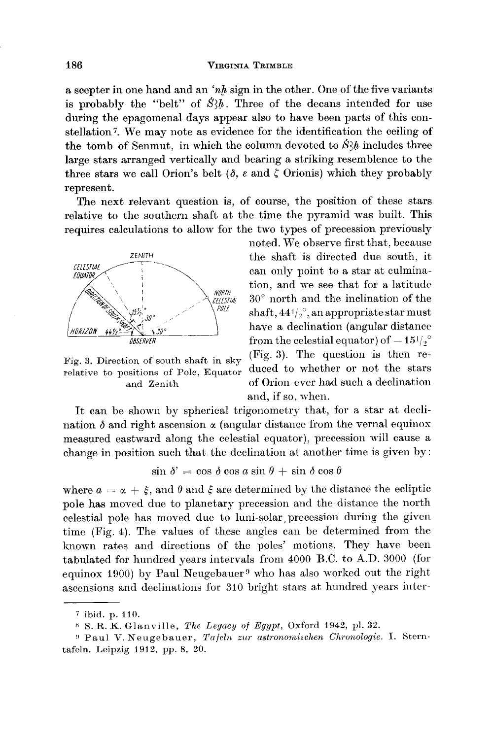#### 186 **VIRGINIA TRIMBLE**

a scepter in one hand and an 'nh sign in the other. One of the five variants is probably the "belt" of  $\hat{S}$ h. Three of the decans intended for use during the epagomenal days appear also to have been parts of this constellation  $\overline{r}$ . We may note as evidence for the identification the ceiling of the tomb of Senmut, in which the column devoted to  $\hat{S}$ <sup>2</sup>/<sub>2</sub> includes three large stars arranged vertically and bearing a striking resemblence to the three stars we call Orion's belt  $(\delta, \varepsilon)$  and  $\zeta$  Orionis) which they probably represent.

The next relevant question is, of course, the position of these stars relative to the southern shaft at the time the pyramid was built. This requires calculations to allow for the two types of precession previously



Fig. 3. Direction of south shaft in sky relative to positions of Pole, Equator **a nd Zenith** 

noted. We observe first that, because the shaft is directed due south, it can only point to a star at culmination, and we see that for a latitude  $30^{\circ}$  north and the inclination of the  $\mathrm{shaff}\mathrm{t},44\mathrm{^{1/2}$  , an appropriate star must have a declination (angular distance from the celestial equator) of  $-15^{1/2}$  $(Fig. 3)$ . The question is then reduced to whether or not the stars of Orion ever had such a declination and, if so, when.

It can be shown by spherical trigonometry that, for a star at declination  $\delta$  and right ascension  $\alpha$  (angular distance from the vernal equinox measured eastward along the celestial equator), precession will cause a change in position such that the declination at another time is given by:

 $\sin \delta' = \cos \delta \cos a \sin \theta + \sin \delta \cos \theta$ 

where  $a = \alpha + \xi$ , and  $\theta$  and  $\xi$  are determined by the distance the ecliptic pole has moved due to planetary precession and the distance the north celestial pole has moved due to luni-solar precession during the given time (Fig. 4). The values of these angles can be determined from the known rates and directions of the poles' motions. They have been tabulated for hundred years intervals from 4000 B.C. to A.D. 3000 (for equinox 1900) by Paul Neugebauer<sup>9</sup> who has also worked out the right ascensions and declinations for 310 bright stars at hundred years inter-

**<sup>7</sup> ibid. p. 110 .** 

**<sup>8</sup> S. R . K . Glanville ,** *The Legacy of Egypt,* **Oxford 1942 , pi. 32 .** 

**<sup>!</sup> l Pau l V. Neugebauer ,** *Tafeln zur astronomischen Chronologie.* **I. Sterntafeln. Leipzig 1912 , pp. 8, 20 .**